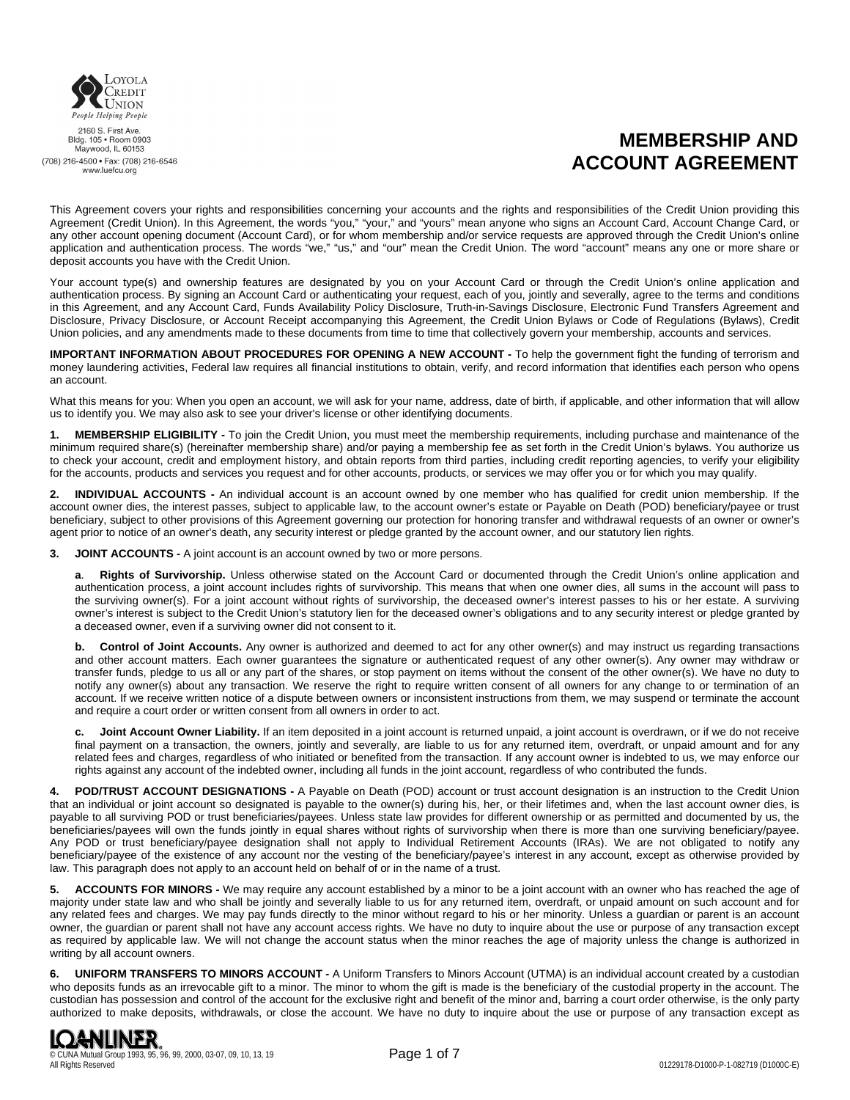

2160 S. First Ave.<br>Bldg. 105 • Room 0903 Maywood, IL 60153 (708) 216-4500 · Fax: (708) 216-6546 www.luefcu.org

# **MEMBERSHIP AND ACCOUNT AGREEMENT**

This Agreement covers your rights and responsibilities concerning your accounts and the rights and responsibilities of the Credit Union providing this Agreement (Credit Union). In this Agreement, the words "you," "your," and "yours" mean anyone who signs an Account Card, Account Change Card, or any other account opening document (Account Card), or for whom membership and/or service requests are approved through the Credit Union's online application and authentication process. The words "we," "us," and "our" mean the Credit Union. The word "account" means any one or more share or deposit accounts you have with the Credit Union.

Your account type(s) and ownership features are designated by you on your Account Card or through the Credit Union's online application and authentication process. By signing an Account Card or authenticating your request, each of you, jointly and severally, agree to the terms and conditions in this Agreement, and any Account Card, Funds Availability Policy Disclosure, Truth-in-Savings Disclosure, Electronic Fund Transfers Agreement and Disclosure, Privacy Disclosure, or Account Receipt accompanying this Agreement, the Credit Union Bylaws or Code of Regulations (Bylaws), Credit Union policies, and any amendments made to these documents from time to time that collectively govern your membership, accounts and services.

**IMPORTANT INFORMATION ABOUT PROCEDURES FOR OPENING A NEW ACCOUNT -** To help the government fight the funding of terrorism and money laundering activities, Federal law requires all financial institutions to obtain, verify, and record information that identifies each person who opens an account.

What this means for you: When you open an account, we will ask for your name, address, date of birth, if applicable, and other information that will allow us to identify you. We may also ask to see your driver's license or other identifying documents.

**1. MEMBERSHIP ELIGIBILITY -** To join the Credit Union, you must meet the membership requirements, including purchase and maintenance of the minimum required share(s) (hereinafter membership share) and/or paying a membership fee as set forth in the Credit Union's bylaws. You authorize us to check your account, credit and employment history, and obtain reports from third parties, including credit reporting agencies, to verify your eligibility for the accounts, products and services you request and for other accounts, products, or services we may offer you or for which you may qualify.

**2. INDIVIDUAL ACCOUNTS -** An individual account is an account owned by one member who has qualified for credit union membership. If the account owner dies, the interest passes, subject to applicable law, to the account owner's estate or Payable on Death (POD) beneficiary/payee or trust beneficiary, subject to other provisions of this Agreement governing our protection for honoring transfer and withdrawal requests of an owner or owner's agent prior to notice of an owner's death, any security interest or pledge granted by the account owner, and our statutory lien rights.

**3. JOINT ACCOUNTS -** A joint account is an account owned by two or more persons.

**a**. **Rights of Survivorship.** Unless otherwise stated on the Account Card or documented through the Credit Union's online application and authentication process, a joint account includes rights of survivorship. This means that when one owner dies, all sums in the account will pass to the surviving owner(s). For a joint account without rights of survivorship, the deceased owner's interest passes to his or her estate. A surviving owner's interest is subject to the Credit Union's statutory lien for the deceased owner's obligations and to any security interest or pledge granted by a deceased owner, even if a surviving owner did not consent to it.

**b. Control of Joint Accounts.** Any owner is authorized and deemed to act for any other owner(s) and may instruct us regarding transactions and other account matters. Each owner guarantees the signature or authenticated request of any other owner(s). Any owner may withdraw or transfer funds, pledge to us all or any part of the shares, or stop payment on items without the consent of the other owner(s). We have no duty to notify any owner(s) about any transaction. We reserve the right to require written consent of all owners for any change to or termination of an account. If we receive written notice of a dispute between owners or inconsistent instructions from them, we may suspend or terminate the account and require a court order or written consent from all owners in order to act.

**c. Joint Account Owner Liability.** If an item deposited in a joint account is returned unpaid, a joint account is overdrawn, or if we do not receive final payment on a transaction, the owners, jointly and severally, are liable to us for any returned item, overdraft, or unpaid amount and for any related fees and charges, regardless of who initiated or benefited from the transaction. If any account owner is indebted to us, we may enforce our rights against any account of the indebted owner, including all funds in the joint account, regardless of who contributed the funds.

**4. POD/TRUST ACCOUNT DESIGNATIONS -** A Payable on Death (POD) account or trust account designation is an instruction to the Credit Union that an individual or joint account so designated is payable to the owner(s) during his, her, or their lifetimes and, when the last account owner dies, is payable to all surviving POD or trust beneficiaries/payees. Unless state law provides for different ownership or as permitted and documented by us, the beneficiaries/payees will own the funds jointly in equal shares without rights of survivorship when there is more than one surviving beneficiary/payee. Any POD or trust beneficiary/payee designation shall not apply to Individual Retirement Accounts (IRAs). We are not obligated to notify any beneficiary/payee of the existence of any account nor the vesting of the beneficiary/payee's interest in any account, except as otherwise provided by law. This paragraph does not apply to an account held on behalf of or in the name of a trust.

**5. ACCOUNTS FOR MINORS -** We may require any account established by a minor to be a joint account with an owner who has reached the age of majority under state law and who shall be jointly and severally liable to us for any returned item, overdraft, or unpaid amount on such account and for any related fees and charges. We may pay funds directly to the minor without regard to his or her minority. Unless a guardian or parent is an account owner, the guardian or parent shall not have any account access rights. We have no duty to inquire about the use or purpose of any transaction except as required by applicable law. We will not change the account status when the minor reaches the age of majority unless the change is authorized in writing by all account owners.

**6. UNIFORM TRANSFERS TO MINORS ACCOUNT -** A Uniform Transfers to Minors Account (UTMA) is an individual account created by a custodian who deposits funds as an irrevocable gift to a minor. The minor to whom the gift is made is the beneficiary of the custodial property in the account. The custodian has possession and control of the account for the exclusive right and benefit of the minor and, barring a court order otherwise, is the only party authorized to make deposits, withdrawals, or close the account. We have no duty to inquire about the use or purpose of any transaction except as

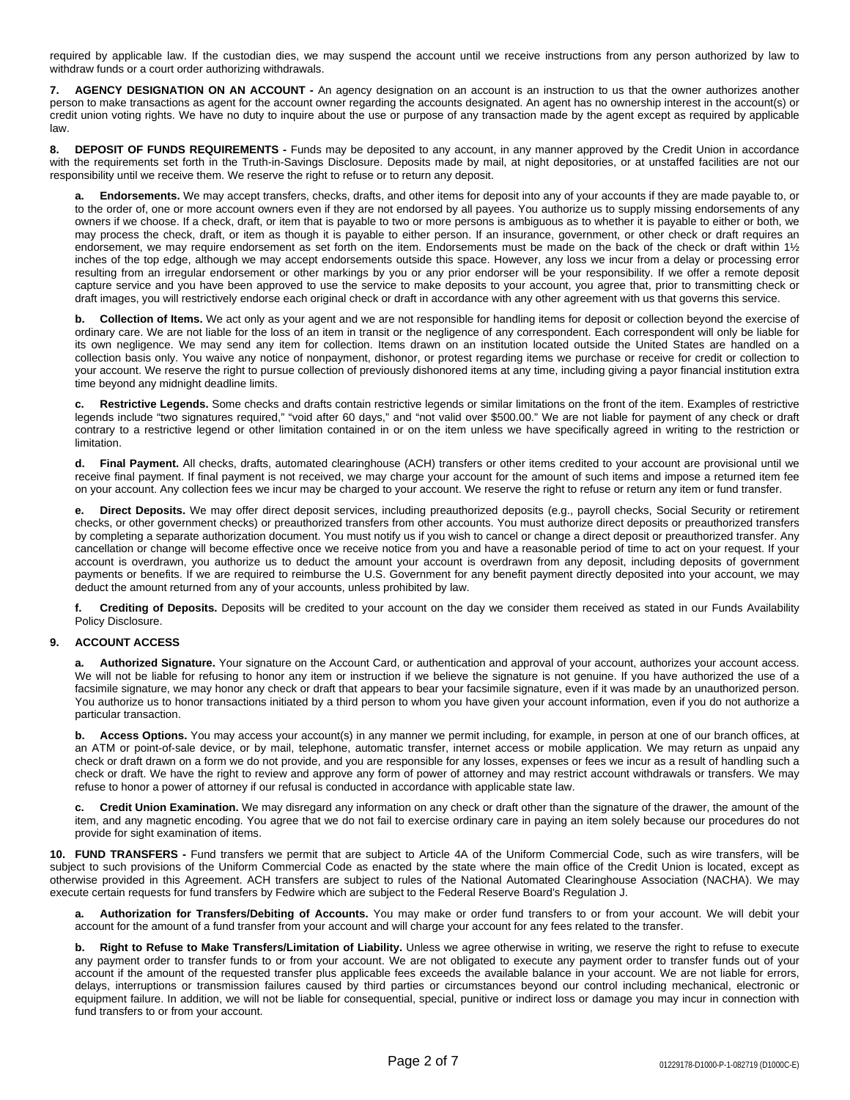required by applicable law. If the custodian dies, we may suspend the account until we receive instructions from any person authorized by law to withdraw funds or a court order authorizing withdrawals.

**7. AGENCY DESIGNATION ON AN ACCOUNT -** An agency designation on an account is an instruction to us that the owner authorizes another person to make transactions as agent for the account owner regarding the accounts designated. An agent has no ownership interest in the account(s) or credit union voting rights. We have no duty to inquire about the use or purpose of any transaction made by the agent except as required by applicable law.

**8. DEPOSIT OF FUNDS REQUIREMENTS -** Funds may be deposited to any account, in any manner approved by the Credit Union in accordance with the requirements set forth in the Truth-in-Savings Disclosure. Deposits made by mail, at night depositories, or at unstaffed facilities are not our responsibility until we receive them. We reserve the right to refuse or to return any deposit.

**a. Endorsements.** We may accept transfers, checks, drafts, and other items for deposit into any of your accounts if they are made payable to, or to the order of, one or more account owners even if they are not endorsed by all payees. You authorize us to supply missing endorsements of any owners if we choose. If a check, draft, or item that is payable to two or more persons is ambiguous as to whether it is payable to either or both, we may process the check, draft, or item as though it is payable to either person. If an insurance, government, or other check or draft requires an endorsement, we may require endorsement as set forth on the item. Endorsements must be made on the back of the check or draft within 1½ inches of the top edge, although we may accept endorsements outside this space. However, any loss we incur from a delay or processing error resulting from an irregular endorsement or other markings by you or any prior endorser will be your responsibility. If we offer a remote deposit capture service and you have been approved to use the service to make deposits to your account, you agree that, prior to transmitting check or draft images, you will restrictively endorse each original check or draft in accordance with any other agreement with us that governs this service.

**b. Collection of Items.** We act only as your agent and we are not responsible for handling items for deposit or collection beyond the exercise of ordinary care. We are not liable for the loss of an item in transit or the negligence of any correspondent. Each correspondent will only be liable for its own negligence. We may send any item for collection. Items drawn on an institution located outside the United States are handled on a collection basis only. You waive any notice of nonpayment, dishonor, or protest regarding items we purchase or receive for credit or collection to your account. We reserve the right to pursue collection of previously dishonored items at any time, including giving a payor financial institution extra time beyond any midnight deadline limits.

**c. Restrictive Legends.** Some checks and drafts contain restrictive legends or similar limitations on the front of the item. Examples of restrictive legends include "two signatures required," "void after 60 days," and "not valid over \$500.00." We are not liable for payment of any check or draft contrary to a restrictive legend or other limitation contained in or on the item unless we have specifically agreed in writing to the restriction or limitation.

**d. Final Payment.** All checks, drafts, automated clearinghouse (ACH) transfers or other items credited to your account are provisional until we receive final payment. If final payment is not received, we may charge your account for the amount of such items and impose a returned item fee on your account. Any collection fees we incur may be charged to your account. We reserve the right to refuse or return any item or fund transfer.

**e. Direct Deposits.** We may offer direct deposit services, including preauthorized deposits (e.g., payroll checks, Social Security or retirement checks, or other government checks) or preauthorized transfers from other accounts. You must authorize direct deposits or preauthorized transfers by completing a separate authorization document. You must notify us if you wish to cancel or change a direct deposit or preauthorized transfer. Any cancellation or change will become effective once we receive notice from you and have a reasonable period of time to act on your request. If your account is overdrawn, you authorize us to deduct the amount your account is overdrawn from any deposit, including deposits of government payments or benefits. If we are required to reimburse the U.S. Government for any benefit payment directly deposited into your account, we may deduct the amount returned from any of your accounts, unless prohibited by law.

**f. Crediting of Deposits.** Deposits will be credited to your account on the day we consider them received as stated in our Funds Availability Policy Disclosure.

### **9. ACCOUNT ACCESS**

**a. Authorized Signature.** Your signature on the Account Card, or authentication and approval of your account, authorizes your account access. We will not be liable for refusing to honor any item or instruction if we believe the signature is not genuine. If you have authorized the use of a facsimile signature, we may honor any check or draft that appears to bear your facsimile signature, even if it was made by an unauthorized person. You authorize us to honor transactions initiated by a third person to whom you have given your account information, even if you do not authorize a particular transaction.

**b. Access Options.** You may access your account(s) in any manner we permit including, for example, in person at one of our branch offices, at an ATM or point-of-sale device, or by mail, telephone, automatic transfer, internet access or mobile application. We may return as unpaid any check or draft drawn on a form we do not provide, and you are responsible for any losses, expenses or fees we incur as a result of handling such a check or draft. We have the right to review and approve any form of power of attorney and may restrict account withdrawals or transfers. We may refuse to honor a power of attorney if our refusal is conducted in accordance with applicable state law.

**c. Credit Union Examination.** We may disregard any information on any check or draft other than the signature of the drawer, the amount of the item, and any magnetic encoding. You agree that we do not fail to exercise ordinary care in paying an item solely because our procedures do not provide for sight examination of items.

**10. FUND TRANSFERS -** Fund transfers we permit that are subject to Article 4A of the Uniform Commercial Code, such as wire transfers, will be subject to such provisions of the Uniform Commercial Code as enacted by the state where the main office of the Credit Union is located, except as otherwise provided in this Agreement. ACH transfers are subject to rules of the National Automated Clearinghouse Association (NACHA). We may execute certain requests for fund transfers by Fedwire which are subject to the Federal Reserve Board's Regulation J.

**a. Authorization for Transfers/Debiting of Accounts.** You may make or order fund transfers to or from your account. We will debit your account for the amount of a fund transfer from your account and will charge your account for any fees related to the transfer.

**b. Right to Refuse to Make Transfers/Limitation of Liability.** Unless we agree otherwise in writing, we reserve the right to refuse to execute any payment order to transfer funds to or from your account. We are not obligated to execute any payment order to transfer funds out of your account if the amount of the requested transfer plus applicable fees exceeds the available balance in your account. We are not liable for errors, delays, interruptions or transmission failures caused by third parties or circumstances beyond our control including mechanical, electronic or equipment failure. In addition, we will not be liable for consequential, special, punitive or indirect loss or damage you may incur in connection with fund transfers to or from your account.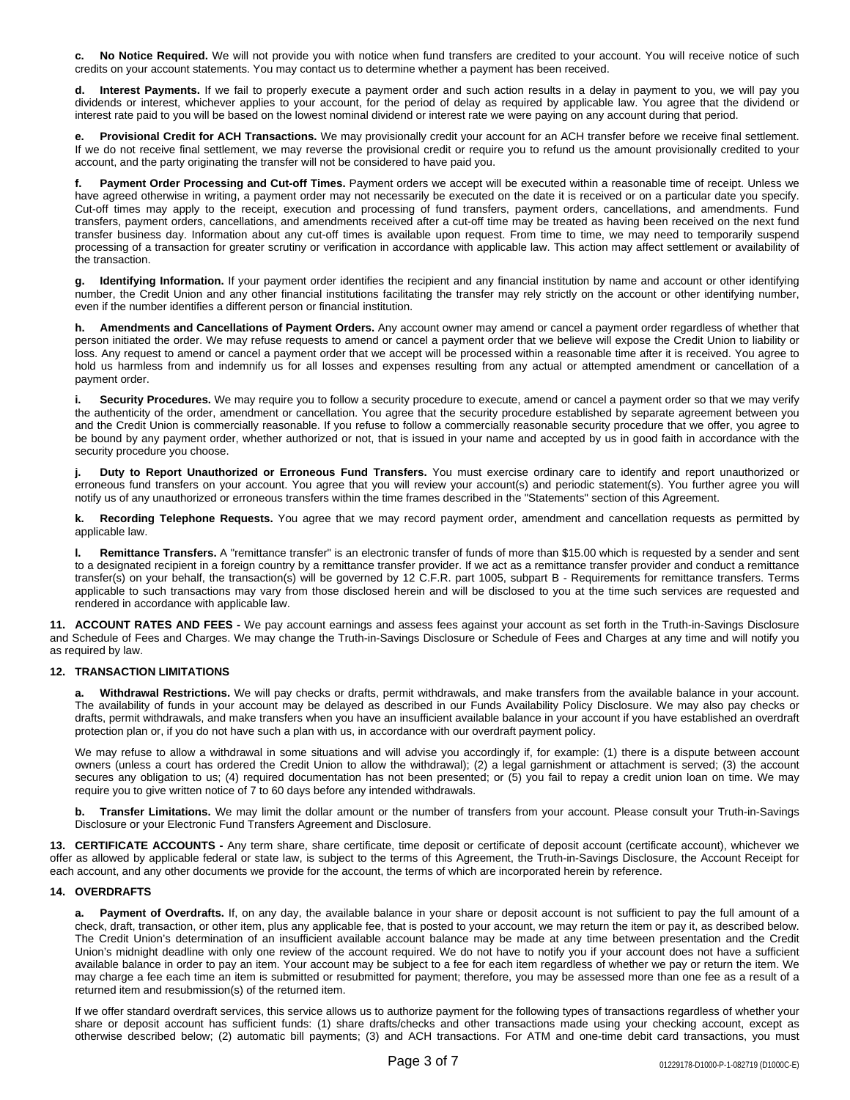**c. No Notice Required.** We will not provide you with notice when fund transfers are credited to your account. You will receive notice of such credits on your account statements. You may contact us to determine whether a payment has been received.

**d. Interest Payments.** If we fail to properly execute a payment order and such action results in a delay in payment to you, we will pay you dividends or interest, whichever applies to your account, for the period of delay as required by applicable law. You agree that the dividend or interest rate paid to you will be based on the lowest nominal dividend or interest rate we were paying on any account during that period.

**e. Provisional Credit for ACH Transactions.** We may provisionally credit your account for an ACH transfer before we receive final settlement. If we do not receive final settlement, we may reverse the provisional credit or require you to refund us the amount provisionally credited to your account, and the party originating the transfer will not be considered to have paid you.

**f. Payment Order Processing and Cut-off Times.** Payment orders we accept will be executed within a reasonable time of receipt. Unless we have agreed otherwise in writing, a payment order may not necessarily be executed on the date it is received or on a particular date you specify. Cut-off times may apply to the receipt, execution and processing of fund transfers, payment orders, cancellations, and amendments. Fund transfers, payment orders, cancellations, and amendments received after a cut-off time may be treated as having been received on the next fund transfer business day. Information about any cut-off times is available upon request. From time to time, we may need to temporarily suspend processing of a transaction for greater scrutiny or verification in accordance with applicable law. This action may affect settlement or availability of the transaction.

**g. Identifying Information.** If your payment order identifies the recipient and any financial institution by name and account or other identifying number, the Credit Union and any other financial institutions facilitating the transfer may rely strictly on the account or other identifying number, even if the number identifies a different person or financial institution.

**h. Amendments and Cancellations of Payment Orders.** Any account owner may amend or cancel a payment order regardless of whether that person initiated the order. We may refuse requests to amend or cancel a payment order that we believe will expose the Credit Union to liability or loss. Any request to amend or cancel a payment order that we accept will be processed within a reasonable time after it is received. You agree to hold us harmless from and indemnify us for all losses and expenses resulting from any actual or attempted amendment or cancellation of a payment order.

**i. Security Procedures.** We may require you to follow a security procedure to execute, amend or cancel a payment order so that we may verify the authenticity of the order, amendment or cancellation. You agree that the security procedure established by separate agreement between you and the Credit Union is commercially reasonable. If you refuse to follow a commercially reasonable security procedure that we offer, you agree to be bound by any payment order, whether authorized or not, that is issued in your name and accepted by us in good faith in accordance with the security procedure you choose.

**j. Duty to Report Unauthorized or Erroneous Fund Transfers.** You must exercise ordinary care to identify and report unauthorized or erroneous fund transfers on your account. You agree that you will review your account(s) and periodic statement(s). You further agree you will notify us of any unauthorized or erroneous transfers within the time frames described in the "Statements" section of this Agreement.

**k. Recording Telephone Requests.** You agree that we may record payment order, amendment and cancellation requests as permitted by applicable law.

**l. Remittance Transfers.** A "remittance transfer" is an electronic transfer of funds of more than \$15.00 which is requested by a sender and sent to a designated recipient in a foreign country by a remittance transfer provider. If we act as a remittance transfer provider and conduct a remittance transfer(s) on your behalf, the transaction(s) will be governed by 12 C.F.R. part 1005, subpart B - Requirements for remittance transfers. Terms applicable to such transactions may vary from those disclosed herein and will be disclosed to you at the time such services are requested and rendered in accordance with applicable law.

**11. ACCOUNT RATES AND FEES -** We pay account earnings and assess fees against your account as set forth in the Truth-in-Savings Disclosure and Schedule of Fees and Charges. We may change the Truth-in-Savings Disclosure or Schedule of Fees and Charges at any time and will notify you as required by law.

## **12. TRANSACTION LIMITATIONS**

**a. Withdrawal Restrictions.** We will pay checks or drafts, permit withdrawals, and make transfers from the available balance in your account. The availability of funds in your account may be delayed as described in our Funds Availability Policy Disclosure. We may also pay checks or drafts, permit withdrawals, and make transfers when you have an insufficient available balance in your account if you have established an overdraft protection plan or, if you do not have such a plan with us, in accordance with our overdraft payment policy.

We may refuse to allow a withdrawal in some situations and will advise you accordingly if, for example: (1) there is a dispute between account owners (unless a court has ordered the Credit Union to allow the withdrawal); (2) a legal garnishment or attachment is served; (3) the account secures any obligation to us; (4) required documentation has not been presented; or (5) you fail to repay a credit union loan on time. We may require you to give written notice of 7 to 60 days before any intended withdrawals.

**b. Transfer Limitations.** We may limit the dollar amount or the number of transfers from your account. Please consult your Truth-in-Savings Disclosure or your Electronic Fund Transfers Agreement and Disclosure.

**13. CERTIFICATE ACCOUNTS -** Any term share, share certificate, time deposit or certificate of deposit account (certificate account), whichever we offer as allowed by applicable federal or state law, is subject to the terms of this Agreement, the Truth-in-Savings Disclosure, the Account Receipt for each account, and any other documents we provide for the account, the terms of which are incorporated herein by reference.

#### **14. OVERDRAFTS**

**a. Payment of Overdrafts.** If, on any day, the available balance in your share or deposit account is not sufficient to pay the full amount of a check, draft, transaction, or other item, plus any applicable fee, that is posted to your account, we may return the item or pay it, as described below. The Credit Union's determination of an insufficient available account balance may be made at any time between presentation and the Credit Union's midnight deadline with only one review of the account required. We do not have to notify you if your account does not have a sufficient available balance in order to pay an item. Your account may be subject to a fee for each item regardless of whether we pay or return the item. We may charge a fee each time an item is submitted or resubmitted for payment; therefore, you may be assessed more than one fee as a result of a returned item and resubmission(s) of the returned item.

If we offer standard overdraft services, this service allows us to authorize payment for the following types of transactions regardless of whether your share or deposit account has sufficient funds: (1) share drafts/checks and other transactions made using your checking account, except as otherwise described below; (2) automatic bill payments; (3) and ACH transactions. For ATM and one-time debit card transactions, you must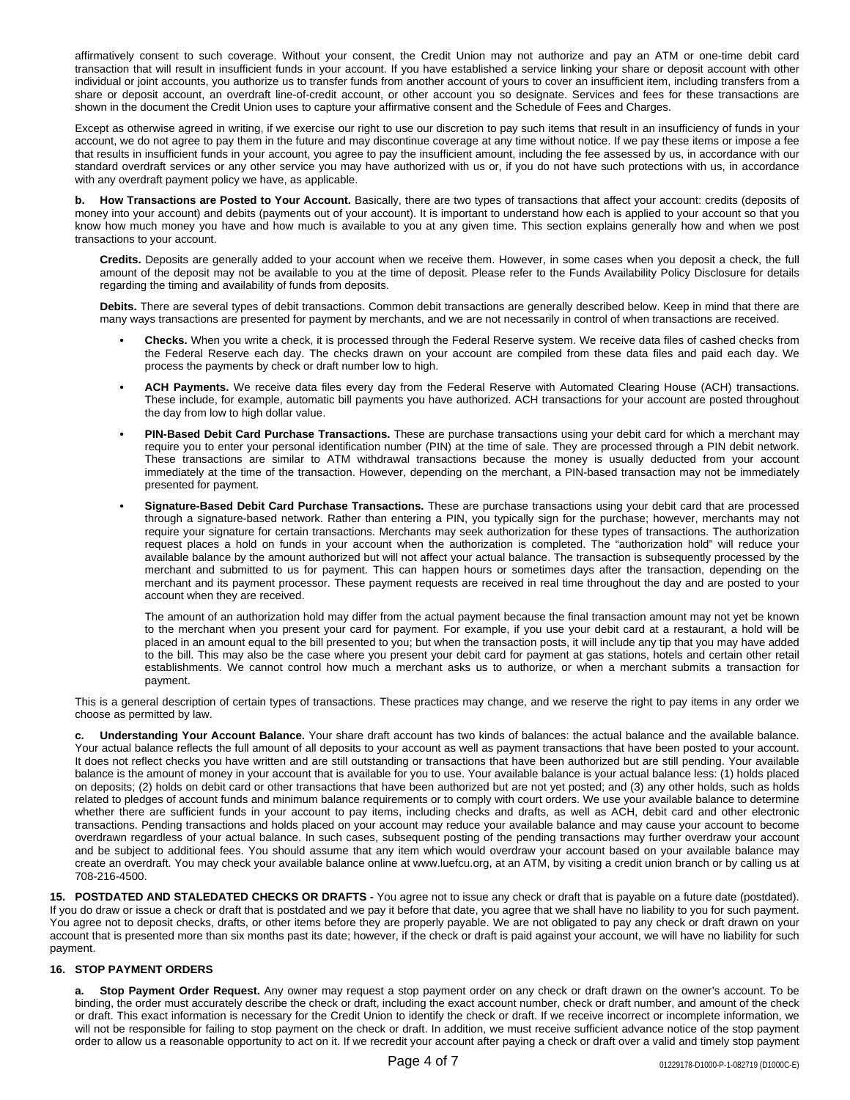affirmatively consent to such coverage. Without your consent, the Credit Union may not authorize and pay an ATM or one-time debit card transaction that will result in insufficient funds in your account. If you have established a service linking your share or deposit account with other individual or joint accounts, you authorize us to transfer funds from another account of yours to cover an insufficient item, including transfers from a share or deposit account, an overdraft line-of-credit account, or other account you so designate. Services and fees for these transactions are shown in the document the Credit Union uses to capture your affirmative consent and the Schedule of Fees and Charges.

Except as otherwise agreed in writing, if we exercise our right to use our discretion to pay such items that result in an insufficiency of funds in your account, we do not agree to pay them in the future and may discontinue coverage at any time without notice. If we pay these items or impose a fee that results in insufficient funds in your account, you agree to pay the insufficient amount, including the fee assessed by us, in accordance with our standard overdraft services or any other service you may have authorized with us or, if you do not have such protections with us, in accordance with any overdraft payment policy we have, as applicable.

**b. How Transactions are Posted to Your Account.** Basically, there are two types of transactions that affect your account: credits (deposits of money into your account) and debits (payments out of your account). It is important to understand how each is applied to your account so that you know how much money you have and how much is available to you at any given time. This section explains generally how and when we post transactions to your account.

**Credits.** Deposits are generally added to your account when we receive them. However, in some cases when you deposit a check, the full amount of the deposit may not be available to you at the time of deposit. Please refer to the Funds Availability Policy Disclosure for details regarding the timing and availability of funds from deposits.

**Debits.** There are several types of debit transactions. Common debit transactions are generally described below. Keep in mind that there are many ways transactions are presented for payment by merchants, and we are not necessarily in control of when transactions are received.

- **• Checks.** When you write a check, it is processed through the Federal Reserve system. We receive data files of cashed checks from the Federal Reserve each day. The checks drawn on your account are compiled from these data files and paid each day. We process the payments by check or draft number low to high.
- **• ACH Payments.** We receive data files every day from the Federal Reserve with Automated Clearing House (ACH) transactions. These include, for example, automatic bill payments you have authorized. ACH transactions for your account are posted throughout the day from low to high dollar value.
- **• PIN-Based Debit Card Purchase Transactions.** These are purchase transactions using your debit card for which a merchant may require you to enter your personal identification number (PIN) at the time of sale. They are processed through a PIN debit network. These transactions are similar to ATM withdrawal transactions because the money is usually deducted from your account immediately at the time of the transaction. However, depending on the merchant, a PIN-based transaction may not be immediately presented for payment.
- **• Signature-Based Debit Card Purchase Transactions.** These are purchase transactions using your debit card that are processed through a signature-based network. Rather than entering a PIN, you typically sign for the purchase; however, merchants may not require your signature for certain transactions. Merchants may seek authorization for these types of transactions. The authorization request places a hold on funds in your account when the authorization is completed. The "authorization hold" will reduce your available balance by the amount authorized but will not affect your actual balance. The transaction is subsequently processed by the merchant and submitted to us for payment. This can happen hours or sometimes days after the transaction, depending on the merchant and its payment processor. These payment requests are received in real time throughout the day and are posted to your account when they are received.

The amount of an authorization hold may differ from the actual payment because the final transaction amount may not yet be known to the merchant when you present your card for payment. For example, if you use your debit card at a restaurant, a hold will be placed in an amount equal to the bill presented to you; but when the transaction posts, it will include any tip that you may have added to the bill. This may also be the case where you present your debit card for payment at gas stations, hotels and certain other retail establishments. We cannot control how much a merchant asks us to authorize, or when a merchant submits a transaction for payment.

This is a general description of certain types of transactions. These practices may change, and we reserve the right to pay items in any order we choose as permitted by law.

**c. Understanding Your Account Balance.** Your share draft account has two kinds of balances: the actual balance and the available balance. Your actual balance reflects the full amount of all deposits to your account as well as payment transactions that have been posted to your account. It does not reflect checks you have written and are still outstanding or transactions that have been authorized but are still pending. Your available balance is the amount of money in your account that is available for you to use. Your available balance is your actual balance less: (1) holds placed on deposits; (2) holds on debit card or other transactions that have been authorized but are not yet posted; and (3) any other holds, such as holds related to pledges of account funds and minimum balance requirements or to comply with court orders. We use your available balance to determine whether there are sufficient funds in your account to pay items, including checks and drafts, as well as ACH, debit card and other electronic transactions. Pending transactions and holds placed on your account may reduce your available balance and may cause your account to become overdrawn regardless of your actual balance. In such cases, subsequent posting of the pending transactions may further overdraw your account and be subject to additional fees. You should assume that any item which would overdraw your account based on your available balance may create an overdraft. You may check your available balance online at www.luefcu.org, at an ATM, by visiting a credit union branch or by calling us at 708-216-4500.

**15. POSTDATED AND STALEDATED CHECKS OR DRAFTS -** You agree not to issue any check or draft that is payable on a future date (postdated). If you do draw or issue a check or draft that is postdated and we pay it before that date, you agree that we shall have no liability to you for such payment. You agree not to deposit checks, drafts, or other items before they are properly payable. We are not obligated to pay any check or draft drawn on your account that is presented more than six months past its date; however, if the check or draft is paid against your account, we will have no liability for such payment.

### **16. STOP PAYMENT ORDERS**

**a. Stop Payment Order Request.** Any owner may request a stop payment order on any check or draft drawn on the owner's account. To be binding, the order must accurately describe the check or draft, including the exact account number, check or draft number, and amount of the check or draft. This exact information is necessary for the Credit Union to identify the check or draft. If we receive incorrect or incomplete information, we will not be responsible for failing to stop payment on the check or draft. In addition, we must receive sufficient advance notice of the stop payment order to allow us a reasonable opportunity to act on it. If we recredit your account after paying a check or draft over a valid and timely stop payment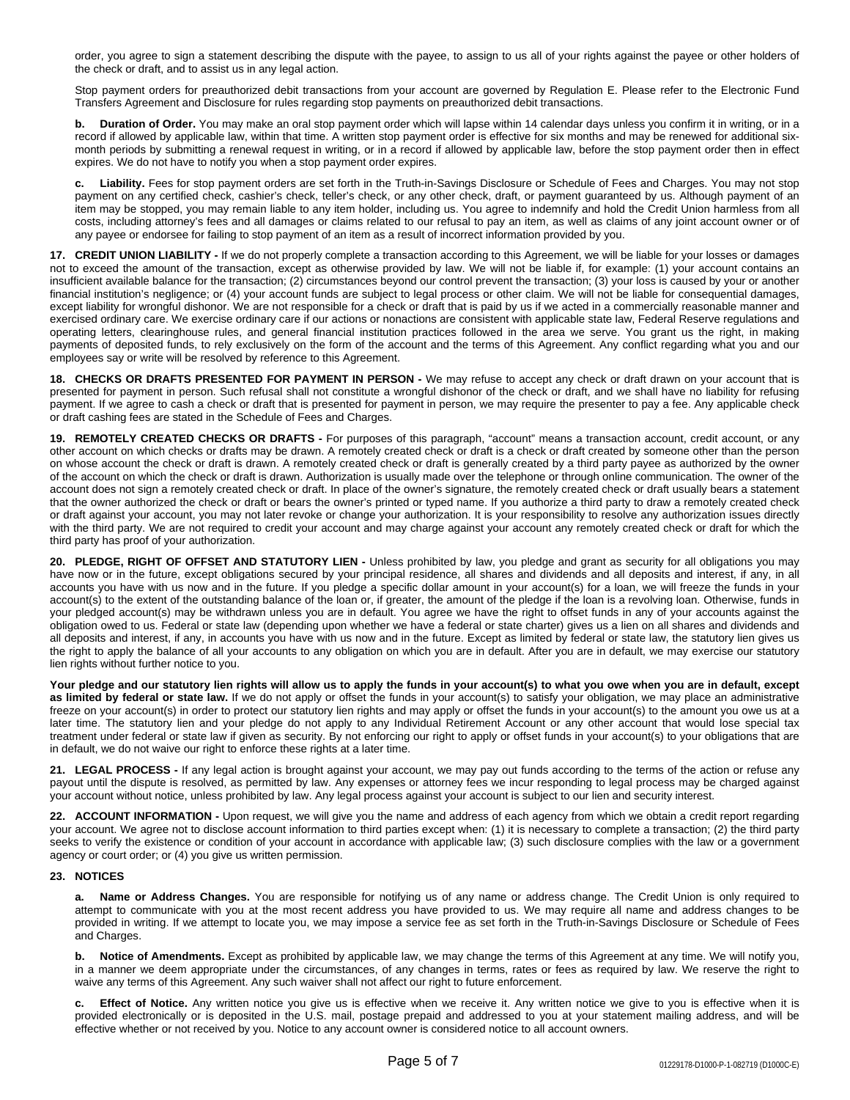order, you agree to sign a statement describing the dispute with the payee, to assign to us all of your rights against the payee or other holders of the check or draft, and to assist us in any legal action.

Stop payment orders for preauthorized debit transactions from your account are governed by Regulation E. Please refer to the Electronic Fund Transfers Agreement and Disclosure for rules regarding stop payments on preauthorized debit transactions.

**b. Duration of Order.** You may make an oral stop payment order which will lapse within 14 calendar days unless you confirm it in writing, or in a record if allowed by applicable law, within that time. A written stop payment order is effective for six months and may be renewed for additional sixmonth periods by submitting a renewal request in writing, or in a record if allowed by applicable law, before the stop payment order then in effect expires. We do not have to notify you when a stop payment order expires.

**c. Liability.** Fees for stop payment orders are set forth in the Truth-in-Savings Disclosure or Schedule of Fees and Charges. You may not stop payment on any certified check, cashier's check, teller's check, or any other check, draft, or payment guaranteed by us. Although payment of an item may be stopped, you may remain liable to any item holder, including us. You agree to indemnify and hold the Credit Union harmless from all costs, including attorney's fees and all damages or claims related to our refusal to pay an item, as well as claims of any joint account owner or of any payee or endorsee for failing to stop payment of an item as a result of incorrect information provided by you.

**17. CREDIT UNION LIABILITY -** If we do not properly complete a transaction according to this Agreement, we will be liable for your losses or damages not to exceed the amount of the transaction, except as otherwise provided by law. We will not be liable if, for example: (1) your account contains an insufficient available balance for the transaction; (2) circumstances beyond our control prevent the transaction; (3) your loss is caused by your or another financial institution's negligence; or (4) your account funds are subject to legal process or other claim. We will not be liable for consequential damages, except liability for wrongful dishonor. We are not responsible for a check or draft that is paid by us if we acted in a commercially reasonable manner and exercised ordinary care. We exercise ordinary care if our actions or nonactions are consistent with applicable state law, Federal Reserve regulations and operating letters, clearinghouse rules, and general financial institution practices followed in the area we serve. You grant us the right, in making payments of deposited funds, to rely exclusively on the form of the account and the terms of this Agreement. Any conflict regarding what you and our employees say or write will be resolved by reference to this Agreement.

**18. CHECKS OR DRAFTS PRESENTED FOR PAYMENT IN PERSON -** We may refuse to accept any check or draft drawn on your account that is presented for payment in person. Such refusal shall not constitute a wrongful dishonor of the check or draft, and we shall have no liability for refusing payment. If we agree to cash a check or draft that is presented for payment in person, we may require the presenter to pay a fee. Any applicable check or draft cashing fees are stated in the Schedule of Fees and Charges.

**19. REMOTELY CREATED CHECKS OR DRAFTS -** For purposes of this paragraph, "account" means a transaction account, credit account, or any other account on which checks or drafts may be drawn. A remotely created check or draft is a check or draft created by someone other than the person on whose account the check or draft is drawn. A remotely created check or draft is generally created by a third party payee as authorized by the owner of the account on which the check or draft is drawn. Authorization is usually made over the telephone or through online communication. The owner of the account does not sign a remotely created check or draft. In place of the owner's signature, the remotely created check or draft usually bears a statement that the owner authorized the check or draft or bears the owner's printed or typed name. If you authorize a third party to draw a remotely created check or draft against your account, you may not later revoke or change your authorization. It is your responsibility to resolve any authorization issues directly with the third party. We are not required to credit your account and may charge against your account any remotely created check or draft for which the third party has proof of your authorization.

**20. PLEDGE, RIGHT OF OFFSET AND STATUTORY LIEN -** Unless prohibited by law, you pledge and grant as security for all obligations you may have now or in the future, except obligations secured by your principal residence, all shares and dividends and all deposits and interest, if any, in all accounts you have with us now and in the future. If you pledge a specific dollar amount in your account(s) for a loan, we will freeze the funds in your account(s) to the extent of the outstanding balance of the loan or, if greater, the amount of the pledge if the loan is a revolving loan. Otherwise, funds in your pledged account(s) may be withdrawn unless you are in default. You agree we have the right to offset funds in any of your accounts against the obligation owed to us. Federal or state law (depending upon whether we have a federal or state charter) gives us a lien on all shares and dividends and all deposits and interest, if any, in accounts you have with us now and in the future. Except as limited by federal or state law, the statutory lien gives us the right to apply the balance of all your accounts to any obligation on which you are in default. After you are in default, we may exercise our statutory lien rights without further notice to you.

Your pledge and our statutory lien rights will allow us to apply the funds in your account(s) to what you owe when you are in default, except **as limited by federal or state law.** If we do not apply or offset the funds in your account(s) to satisfy your obligation, we may place an administrative freeze on your account(s) in order to protect our statutory lien rights and may apply or offset the funds in your account(s) to the amount you owe us at a later time. The statutory lien and your pledge do not apply to any Individual Retirement Account or any other account that would lose special tax treatment under federal or state law if given as security. By not enforcing our right to apply or offset funds in your account(s) to your obligations that are in default, we do not waive our right to enforce these rights at a later time.

**21. LEGAL PROCESS -** If any legal action is brought against your account, we may pay out funds according to the terms of the action or refuse any payout until the dispute is resolved, as permitted by law. Any expenses or attorney fees we incur responding to legal process may be charged against your account without notice, unless prohibited by law. Any legal process against your account is subject to our lien and security interest.

**22. ACCOUNT INFORMATION -** Upon request, we will give you the name and address of each agency from which we obtain a credit report regarding your account. We agree not to disclose account information to third parties except when: (1) it is necessary to complete a transaction; (2) the third party seeks to verify the existence or condition of your account in accordance with applicable law; (3) such disclosure complies with the law or a government agency or court order; or (4) you give us written permission.

#### **23. NOTICES**

**a. Name or Address Changes.** You are responsible for notifying us of any name or address change. The Credit Union is only required to attempt to communicate with you at the most recent address you have provided to us. We may require all name and address changes to be provided in writing. If we attempt to locate you, we may impose a service fee as set forth in the Truth-in-Savings Disclosure or Schedule of Fees and Charges.

**b. Notice of Amendments.** Except as prohibited by applicable law, we may change the terms of this Agreement at any time. We will notify you, in a manner we deem appropriate under the circumstances, of any changes in terms, rates or fees as required by law. We reserve the right to waive any terms of this Agreement. Any such waiver shall not affect our right to future enforcement.

**c. Effect of Notice.** Any written notice you give us is effective when we receive it. Any written notice we give to you is effective when it is provided electronically or is deposited in the U.S. mail, postage prepaid and addressed to you at your statement mailing address, and will be effective whether or not received by you. Notice to any account owner is considered notice to all account owners.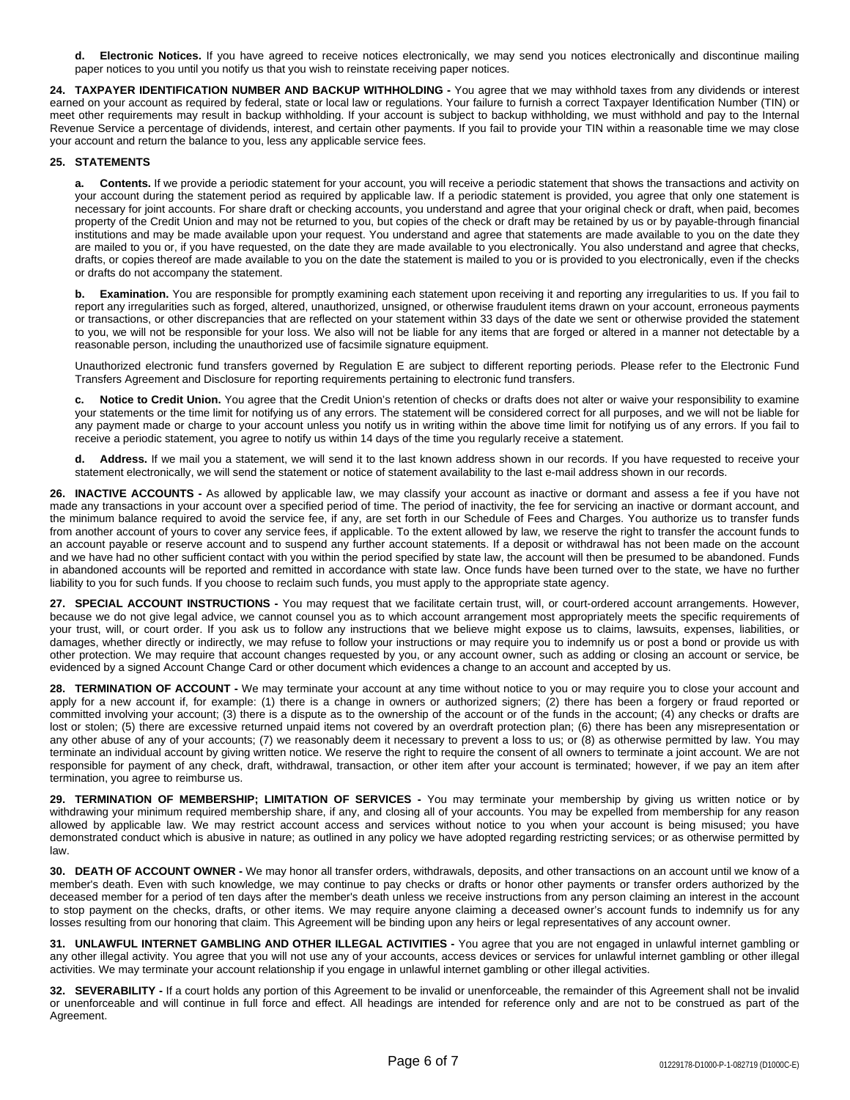**d. Electronic Notices.** If you have agreed to receive notices electronically, we may send you notices electronically and discontinue mailing paper notices to you until you notify us that you wish to reinstate receiving paper notices.

**24. TAXPAYER IDENTIFICATION NUMBER AND BACKUP WITHHOLDING -** You agree that we may withhold taxes from any dividends or interest earned on your account as required by federal, state or local law or regulations. Your failure to furnish a correct Taxpayer Identification Number (TIN) or meet other requirements may result in backup withholding. If your account is subject to backup withholding, we must withhold and pay to the Internal Revenue Service a percentage of dividends, interest, and certain other payments. If you fail to provide your TIN within a reasonable time we may close your account and return the balance to you, less any applicable service fees.

### **25. STATEMENTS**

**a. Contents.** If we provide a periodic statement for your account, you will receive a periodic statement that shows the transactions and activity on your account during the statement period as required by applicable law. If a periodic statement is provided, you agree that only one statement is necessary for joint accounts. For share draft or checking accounts, you understand and agree that your original check or draft, when paid, becomes property of the Credit Union and may not be returned to you, but copies of the check or draft may be retained by us or by payable-through financial institutions and may be made available upon your request. You understand and agree that statements are made available to you on the date they are mailed to you or, if you have requested, on the date they are made available to you electronically. You also understand and agree that checks, drafts, or copies thereof are made available to you on the date the statement is mailed to you or is provided to you electronically, even if the checks or drafts do not accompany the statement.

**b. Examination.** You are responsible for promptly examining each statement upon receiving it and reporting any irregularities to us. If you fail to report any irregularities such as forged, altered, unauthorized, unsigned, or otherwise fraudulent items drawn on your account, erroneous payments or transactions, or other discrepancies that are reflected on your statement within 33 days of the date we sent or otherwise provided the statement to you, we will not be responsible for your loss. We also will not be liable for any items that are forged or altered in a manner not detectable by a reasonable person, including the unauthorized use of facsimile signature equipment.

Unauthorized electronic fund transfers governed by Regulation E are subject to different reporting periods. Please refer to the Electronic Fund Transfers Agreement and Disclosure for reporting requirements pertaining to electronic fund transfers.

**c. Notice to Credit Union.** You agree that the Credit Union's retention of checks or drafts does not alter or waive your responsibility to examine your statements or the time limit for notifying us of any errors. The statement will be considered correct for all purposes, and we will not be liable for any payment made or charge to your account unless you notify us in writing within the above time limit for notifying us of any errors. If you fail to receive a periodic statement, you agree to notify us within 14 days of the time you regularly receive a statement.

**d. Address.** If we mail you a statement, we will send it to the last known address shown in our records. If you have requested to receive your statement electronically, we will send the statement or notice of statement availability to the last e-mail address shown in our records.

**26. INACTIVE ACCOUNTS -** As allowed by applicable law, we may classify your account as inactive or dormant and assess a fee if you have not made any transactions in your account over a specified period of time. The period of inactivity, the fee for servicing an inactive or dormant account, and the minimum balance required to avoid the service fee, if any, are set forth in our Schedule of Fees and Charges. You authorize us to transfer funds from another account of yours to cover any service fees, if applicable. To the extent allowed by law, we reserve the right to transfer the account funds to an account payable or reserve account and to suspend any further account statements. If a deposit or withdrawal has not been made on the account and we have had no other sufficient contact with you within the period specified by state law, the account will then be presumed to be abandoned. Funds in abandoned accounts will be reported and remitted in accordance with state law. Once funds have been turned over to the state, we have no further liability to you for such funds. If you choose to reclaim such funds, you must apply to the appropriate state agency.

**27. SPECIAL ACCOUNT INSTRUCTIONS -** You may request that we facilitate certain trust, will, or court-ordered account arrangements. However, because we do not give legal advice, we cannot counsel you as to which account arrangement most appropriately meets the specific requirements of your trust, will, or court order. If you ask us to follow any instructions that we believe might expose us to claims, lawsuits, expenses, liabilities, or damages, whether directly or indirectly, we may refuse to follow your instructions or may require you to indemnify us or post a bond or provide us with other protection. We may require that account changes requested by you, or any account owner, such as adding or closing an account or service, be evidenced by a signed Account Change Card or other document which evidences a change to an account and accepted by us.

**28. TERMINATION OF ACCOUNT -** We may terminate your account at any time without notice to you or may require you to close your account and apply for a new account if, for example: (1) there is a change in owners or authorized signers; (2) there has been a forgery or fraud reported or committed involving your account; (3) there is a dispute as to the ownership of the account or of the funds in the account; (4) any checks or drafts are lost or stolen; (5) there are excessive returned unpaid items not covered by an overdraft protection plan; (6) there has been any misrepresentation or any other abuse of any of your accounts; (7) we reasonably deem it necessary to prevent a loss to us; or (8) as otherwise permitted by law. You may terminate an individual account by giving written notice. We reserve the right to require the consent of all owners to terminate a joint account. We are not responsible for payment of any check, draft, withdrawal, transaction, or other item after your account is terminated; however, if we pay an item after termination, you agree to reimburse us.

**29. TERMINATION OF MEMBERSHIP; LIMITATION OF SERVICES -** You may terminate your membership by giving us written notice or by withdrawing your minimum required membership share, if any, and closing all of your accounts. You may be expelled from membership for any reason allowed by applicable law. We may restrict account access and services without notice to you when your account is being misused; you have demonstrated conduct which is abusive in nature; as outlined in any policy we have adopted regarding restricting services; or as otherwise permitted by law.

**30. DEATH OF ACCOUNT OWNER -** We may honor all transfer orders, withdrawals, deposits, and other transactions on an account until we know of a member's death. Even with such knowledge, we may continue to pay checks or drafts or honor other payments or transfer orders authorized by the deceased member for a period of ten days after the member's death unless we receive instructions from any person claiming an interest in the account to stop payment on the checks, drafts, or other items. We may require anyone claiming a deceased owner's account funds to indemnify us for any losses resulting from our honoring that claim. This Agreement will be binding upon any heirs or legal representatives of any account owner.

**31. UNLAWFUL INTERNET GAMBLING AND OTHER ILLEGAL ACTIVITIES -** You agree that you are not engaged in unlawful internet gambling or any other illegal activity. You agree that you will not use any of your accounts, access devices or services for unlawful internet gambling or other illegal activities. We may terminate your account relationship if you engage in unlawful internet gambling or other illegal activities.

**32. SEVERABILITY -** If a court holds any portion of this Agreement to be invalid or unenforceable, the remainder of this Agreement shall not be invalid or unenforceable and will continue in full force and effect. All headings are intended for reference only and are not to be construed as part of the Agreement.